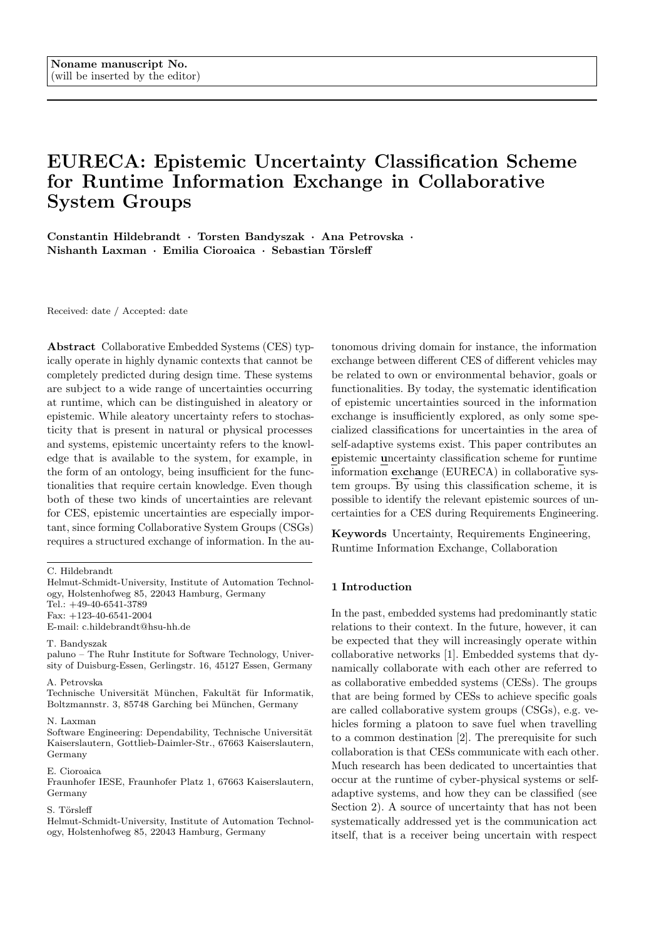# EURECA: Epistemic Uncertainty Classification Scheme for Runtime Information Exchange in Collaborative System Groups

Constantin Hildebrandt · Torsten Bandyszak · Ana Petrovska · Nishanth Laxman · Emilia Cioroaica · Sebastian Törsleff

Received: date / Accepted: date

Abstract Collaborative Embedded Systems (CES) typically operate in highly dynamic contexts that cannot be completely predicted during design time. These systems are subject to a wide range of uncertainties occurring at runtime, which can be distinguished in aleatory or epistemic. While aleatory uncertainty refers to stochasticity that is present in natural or physical processes and systems, epistemic uncertainty refers to the knowledge that is available to the system, for example, in the form of an ontology, being insufficient for the functionalities that require certain knowledge. Even though both of these two kinds of uncertainties are relevant for CES, epistemic uncertainties are especially important, since forming Collaborative System Groups (CSGs) requires a structured exchange of information. In the au-

Fax: +123-40-6541-2004

E-mail: c.hildebrandt@hsu-hh.de

#### T. Bandyszak

paluno – The Ruhr Institute for Software Technology, University of Duisburg-Essen, Gerlingstr. 16, 45127 Essen, Germany

#### A. Petrovska

Technische Universität München, Fakultät für Informatik, Boltzmannstr. 3, 85748 Garching bei München, Germany

#### N. Laxman

 $\operatorname{Software}$ Engineering: Dependability, Technische Universität Kaiserslautern, Gottlieb-Daimler-Str., 67663 Kaiserslautern, Germany

### E. Cioroaica

Fraunhofer IESE, Fraunhofer Platz 1, 67663 Kaiserslautern, Germany

## S. Törsleff

Helmut-Schmidt-University, Institute of Automation Technology, Holstenhofweg 85, 22043 Hamburg, Germany

tonomous driving domain for instance, the information exchange between different CES of different vehicles may be related to own or environmental behavior, goals or functionalities. By today, the systematic identification of epistemic uncertainties sourced in the information exchange is insufficiently explored, as only some specialized classifications for uncertainties in the area of self-adaptive systems exist. This paper contributes an epistemic uncertainty classification scheme for runtime information exchange (EURECA) in collaborative system groups. By using this classification scheme, it is possible to identify the relevant epistemic sources of uncertainties for a CES during Requirements Engineering.

Keywords Uncertainty, Requirements Engineering, Runtime Information Exchange, Collaboration

#### 1 Introduction

In the past, embedded systems had predominantly static relations to their context. In the future, however, it can be expected that they will increasingly operate within collaborative networks [1]. Embedded systems that dynamically collaborate with each other are referred to as collaborative embedded systems (CESs). The groups that are being formed by CESs to achieve specific goals are called collaborative system groups (CSGs), e.g. vehicles forming a platoon to save fuel when travelling to a common destination [2]. The prerequisite for such collaboration is that CESs communicate with each other. Much research has been dedicated to uncertainties that occur at the runtime of cyber-physical systems or selfadaptive systems, and how they can be classified (see Section 2). A source of uncertainty that has not been systematically addressed yet is the communication act itself, that is a receiver being uncertain with respect

C. Hildebrandt

Helmut-Schmidt-University, Institute of Automation Technology, Holstenhofweg 85, 22043 Hamburg, Germany Tel.: +49-40-6541-3789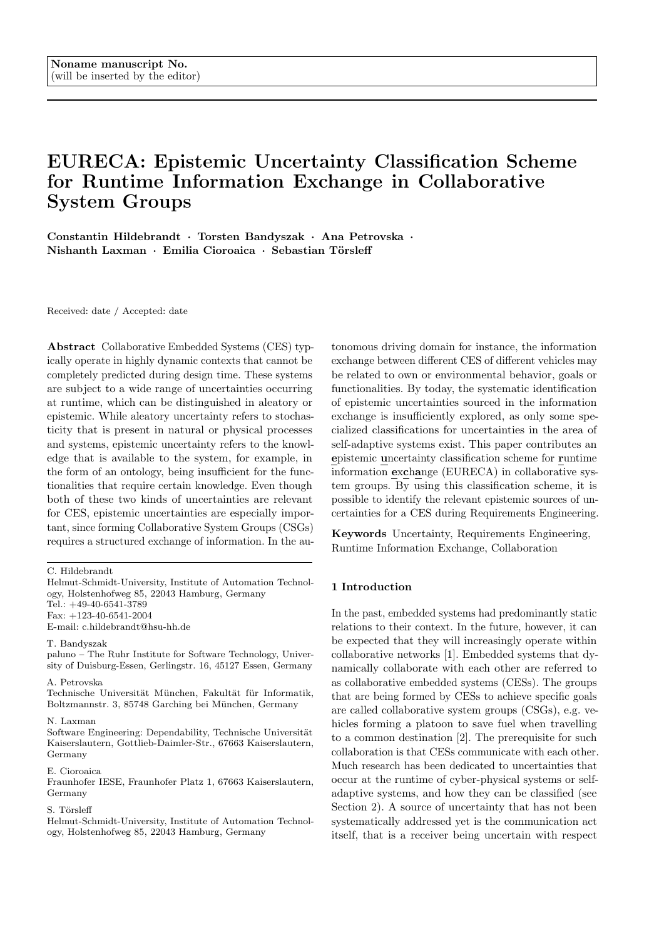to the information that a sender wants to convey. For instance, when a vehicle in a platoon proposes a new target speed of 60 by sending a message including only the number '60', it might be unclear whether the number is referring to miles per hour or kilometers per hour. Another example would be the presence of unknown concepts in a message, for example, the sender referring to the concept "speed" in a message, while the receiver is only aware of the concept "velocity".

This contribution introduces an approach for addressing communication-induced epistemic uncertainties. On the one hand, the approach provides a classification scheme for such uncertainties. On the other hand, it provides a method for applying the scheme as a checklist to support the systematic analysis of potential uncertainties in the communication of CESs. This is based on scenarios and can be integrated into the requirements engineering of such systems in order to explicitly take uncertainty into account. The analysis of consequences, e.g. hazards, that may arise from communication-induced uncertainties is not in the scope of our approach. However, it is positioned to provide structured inputs to such scenario analyses. We employ the autonomous driving domain as a running example as well as for the exemplary application of our approach. The approach, however, is designed to be applicable for all application domains of CSGs. As such, preliminary validation has been performed for two additional domains - factory automation and energy distribution.

This paper is structured as follows: Section 2 presents the body of research regarding runtime uncertainties to put our research into context. In Section 3, we discuss uncertainties that may arise within CSGs. Subsequently, we introduce our approach in Section 4. In Section 5, we present an exemplary application of our approach within the autonomous driving domain. We conclude the paper in Section 6 with a conclusion and outlook.

#### 2 State of the Art – Runtime Uncertainty

The term uncertainty has been broadly discussed across many disciplines and sciences. In the literature there are many different given definitions and considered perspectives when it comes to defining and classifying uncertainties. For example, Walker et al. [3] consider uncertainty from a decision making point of view, to support making decisions in the presence of uncertainty. Refsgaard et al. [4] discuss uncertainty in the area of natural environment modelling. Foreseeably, in the area of computer science and software engineering, uncertainty is most notably discussed in the context of self-adaptive systems [5–9] and cyber-physical systems [10]. In these systems uncertainties have a central role, which stems from the manifestation of the dynamic nature of the systems.

#### 2.1 Uncertainty Fundamentals

Cailliau and Lamsweerde [11] differentiate two essential levels of uncertainties: physical uncertainty and knowledge uncertainty. Physical uncertainty represents all the uncertainties that may occur in the system, for example, the failure of a sensor, or in the system context. Knowledge uncertainty denotes uncertainty that relates to the estimation of physical uncertainty values by experts.

Furthermore, [3] and [7] also cover the distinction between physical uncertainty and knowledge uncertainty, here referred to as *aleatory* and *epistemic* uncertainty instead. Uncertainty is classified as aleatory, if there is no foreseeable possibility for reducing it. Aleatory uncertainty refers to uncertainty due to the inherent stochasticity that is present in natural, physical processes and systems [12]. On the contrary, uncertainty is classified as epistemic, if there exists a possibility the uncertainty to be reduced by gathering more data or by refining models [13].

#### 2.2 Classifying Runtime Uncertainties

In addition to the general categorization of uncertainties, which have been summarized in the previous Section, there are few more detailed taxonomies for classifying uncertainties that particularly focus on uncertainties that can occur at runtime. These have been, most notably, proposed in the context of adaptive systems, where uncertainty plays a major role and motivates the need for self-adaptation capabilities and associated engineering challenges [14]. All these classifications put a special emphasis on the time when the uncertainties occur, which is particularly important considering the importance of the role that time has in the above-mentioned systems. Moreover, all of the classifications introduce and focus on one or more uncertainty dimensions.

The very first classification that has been proposed by Walker et al. [3] (2003), targeting uncertainties in model-based decision support, which is closely related to the decision making and actions performed by software systems at runtime. As we will see below, more recent and software-specific classifications actually build upon [3]. Walker et al. identify three dimensions of uncertainties: nature, location, and level. Nature refers to the distinction of aleatory and epistemic uncertainty, which has been already discussed in the previous subsection. The *location* identifies where the uncertainties manifest. The level of uncertainty classifies uncertainty according to lack of knowledge and lack of awareness of knowledge deficits. Namely, in our classification we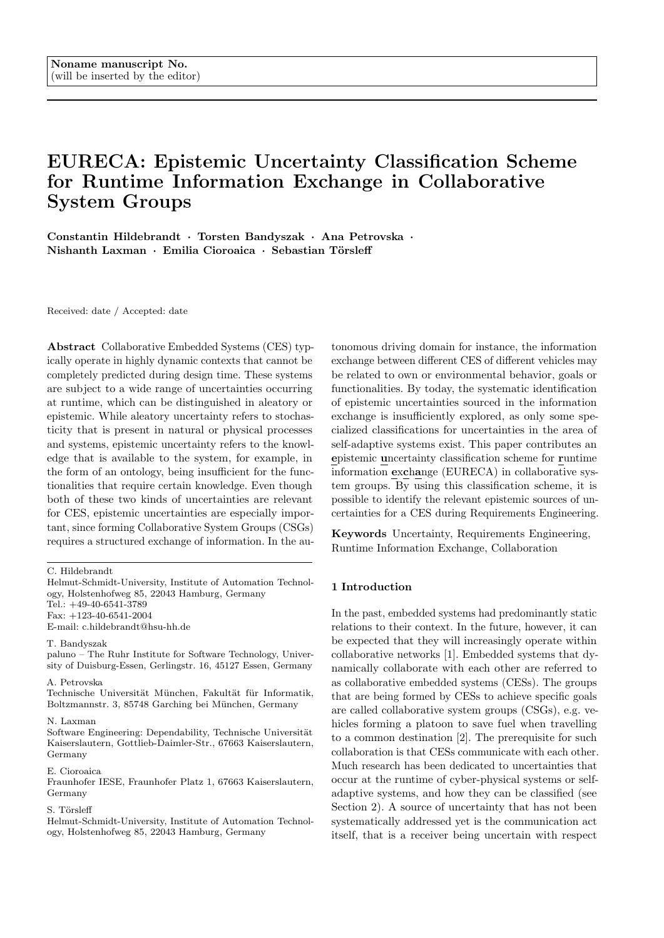map the information exchange to Walker's location dimension, and we refer to their level dimension as *lack* of knowledge. Additionally, we provide a schema based on representation of knowledge using ontologies.

Ramirez et al. [6] (2012) propose a taxonomy and describe potential sources of uncertainties on three different levels, according to the life cycle phase in which uncertainty can occur: the requirements level, design level, and runtime level. During the development of the system, the sources of uncertainties mainly refer to consequences of deficiencies in conducting the development activities, such as ambiguous requirements, or an inadequate design. For instance, such uncertainties may be rooted in insufficient requirements negotiation or the inherent volatility of requirements. In contrast, runtime uncertainties affect the decision making of the envisioned system during operation. The sources of uncertainties at the higher levels, subsume the sources of uncertainties on the lower levels. Therefore, if the source of uncertainty is not resolved at the lower level (for example, on the requirements level), then it propagates to the higher ones (design level, and potentially runtime level). According to [6], potential sources of runtime uncertainties are mainly related to interactions between the system and its context, including sensor noise, inaccuracy of sensor measurements, or an unpredictable system environment. We focus on the system's ability to exchange information during operation, hence, runtime uncertainties in respect to Ramirez's taxonomy.

Perez-Palacin and Mirandola [7] (2014) focus on uncertainties that can be present in (formal) models used during development and at runtime to guide selfadaptation. Their taxonomy of model uncertainty is based on [3], and they further extend the identified sources of uncertainties in [5]. Primarily, they adopt two dimensions out of the three-dimensional taxonomy proposed by Walker et al. in [3]: nature (aleatory and epistemic uncertainty) and location. The location of an uncertainty identifies the place where uncertainty is visible in a model, for example, uncertainty can be related to the information a modeling language should be able to express and its limitations, to the way the reality is represented using prescribed modeling elements, or to the properties of model elements to be used for further analyses [7]. Among all of the proposed uncertainty classifications and taxonomies, Perez-Palacin's taxonomy is the closest to our contribution. The different uncertainty locations mentioned in their work have a lot in common with the distinction of different levels in our information exchange representation.

The most recent and sophisticated classifications are given by Mahdavi-Hezavehi et al. [8] (2017), which has been elicited from a systematic literature review, and

by Camara et al. [9], which can be seen as an extension of the first taxonomy by Mahdavi-Hezavehi. Both give one of the most prominent classifications, identify and categorize plenty of previous works on uncertainty.

Mahdavi-Hezavehi et al. [8] first identify an initial uncertainty dimensions classi cation schema and initial source classi cation schema, based on the previous literature, in particular the work by Perez-Palacin et al. [7], Refsgaard et al. [4], David Garlan [15], Esfahani and Malek [5], and Ramirez et al. [6]. The initial uncertainty dimensions classi cation schema comprises four uncertainty dimensions: location (where the uncertainty manifests within the complexity of the model), nature (whether the uncertainty is due to the imperfection of the knowledge, or due to the inherent variability of the event), level/spectrum (where the uncertainty manifests along the spectrum between knowledge and ignorance), and sources (refers to the variety of uncertainties sources). The initial source classi cation schema comprises three uncertainty sources: model (uncertainties originating from system models), goals (uncertainties emerging from the systems goals and their obscurities), and environment (uncertainties originating from different environmental circumstances). They extended and completed both the dimension schema and source classi cations schema based on data they extracted from their primary study.

Therefore, both taxonomies distinguish ve dimensions of uncertainties: location, source, nature, level, and emerging time. Hence, the classifications extend the initial three-dimensional concept from [3], and incorporate the source and emerging time (design-time or runtime) as fourth and fifth dimension. Additionally, Mahdavi-Hezavehi et al. extended the *initial source clas*si cation schema to following generic classes of uncertainty sources: model uncertainty, adaptation functions uncertainty, goals uncertainty, environment uncertainty, resources uncertainty and managed system uncertainty.

In the last three [7–9] classifications, the uncertainty sources are always use-case specific and there is no alternative in using the classifications without using their model specifications (context model, resource model or goal model). However, in CES practice, there will be models defined by an external entity—industry, for example. Sometimes there might be even models that are not envisioned yet. This leaves open the question whether it is meaningful to classify uncertainty sources by using a specific kind of model. In our work, we are proposing a classification scheme that can be used to identify uncertainty sources in any kind of model.

Our approach provides a classification schema for types of epistemic uncertainties at runtime, with special emphasis on uncertainties originating from information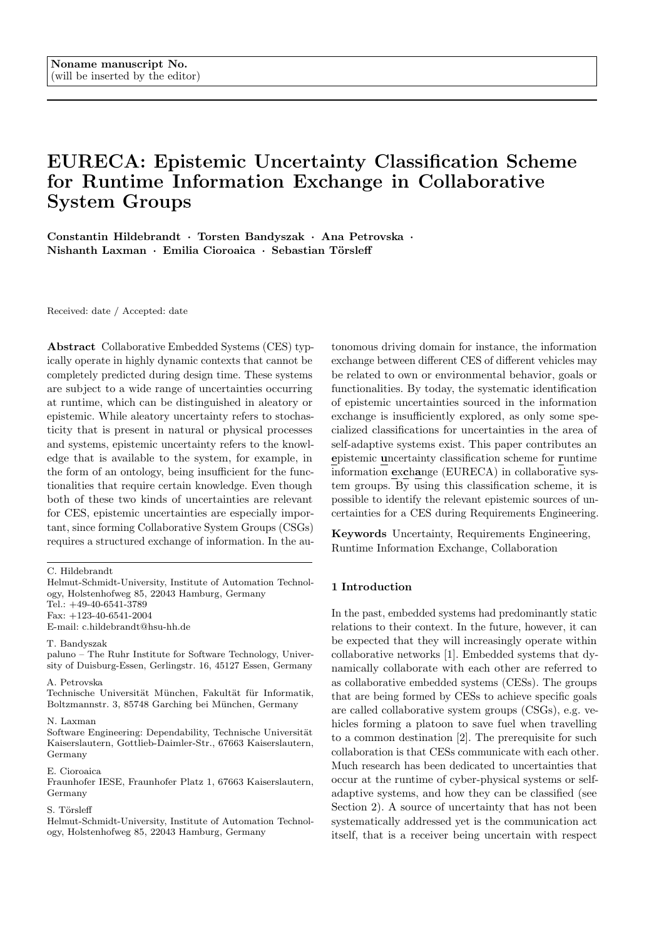exchange in collaborating systems, which has not been addressed by another uncertainty classification to the best of our knowledge.

# 3 Epistemic Uncertainties in Collaborative System Groups

#### 3.1 Information Exchange in CSGs

In the following, we introduce some general characteristics of collaborative embedded systems (CES), which pose specific challenges to the consideration of different kinds of runtime uncertainties. Such collaborative embedded systems (CESs) operate in highly dynamic environments. Additionally, CES collaborate when they combine their individual capabilities to achieve a common goal. Achieving a common goal can be beyond the capabilities of the individual systems, and thus specifically require a collaboration. When systems collaborate to achieve a specific goal, they form a collaborative system group (CSG). A CSG can evolve dynamically, for example, it might include new CES, or even dissolve.

To illustrate CES and CSG throughout the paper, we use examples from autonomous driving, which is an interdisciplinary research area that has recently gained much attention in the scientific community. In particular, we focus on vehicle platooning as an exemplary use case relevant for autonomous driving. A platoon is a group of vehicles controlled by cooperative adaptive cruise control (CACC) systems that utilize networking and communication to enable collaboration among the partaking vehicles, and can thus be considered a CSG [2]. A common goal that can be achieved through minimizing following distances in a platoon, is reducing the fuel consumption. Applied to heavy-duty trucks, platooning enables fuel savings of up to 20% [16].

A CES, which is under initial consideration for a potential engagement in a collaborating group, is called system under consideration (SUC), and is embedded into its operational context at runtime [17]. In the example of a platoon, the individual CACC systems controlling the partaking vehicles are the CES; however, to keep things simple, we simply denote the different vehicles as CESs under consideration. In general, the context of a system consists of all objects that are relevant to the system, but cannot be influenced by developers and is perceived as given [18]. Context objects (COs) can be divided into two different types [19]: Collaborative context objects and non-collaborative context objects. A collaborative context object is able to share information about itself in a reactive or proactive manner with the SUC; for example, the SUC calls a self-description service, or a collaborative context object pro-actively sends a selfdescription to the SUC or other CESs in a CSG, while

accessing a network. In order for their collaboration to be initiated, CESs have to analyze each others' information, for instance, their specifications of functional and quality properties. In the platooning example, different collaborating vehicles exchange such information to communicate their destinations of travel [20]. Hence, from the point of view of one vehicle, the other vehicles of a platoon are collaborative context objects that interact with it. In contrast, non-collaborative context objects are unable to provide a machine-readable description of information that is required to collaborate with the SUC. Nevertheless, they can be perceived by the CESs, or they may even interact with CESs in some non-collaborative, passive manner. For instance, a radar sensor measuring the distance to a preceding vehicle can be considered non-collaborative.

## 3.2 Epistemic Uncertainties in Vehicle Platooning

As mentioned in Section 3.1, we focus on potential uncertainties that may occur in a platoon. There are many control paradigms available for realizing a platoon [21], which we do not discuss in detail. A platoon is typically led by a platoon leader that plays a special role, and a set of vehicles following the platoon leader [22]. Typically the vehicle with the highest safety characteristics is determined as the leader, which is negotiated among the vehicles [23]. One particular form for realizing a platoon is through joining a smart ecosystem as presented in [24]. Smart ecosystems consists of actors with different goals [25] that influence the dynamics within an ecosystem and bring along a set of uncertainties regarding system's goals. Moreover, ecosystems are not formed from scratch, already existing systems can be enhanced with software updates that make them collaborative. An example of a platoon formation as a smart ecosystem is through download of software updates that enables sharing of context information. At an entry point on a highway autonomous vehicles can get software updates that enable them to form a platoon through sharing of information regarding the perception of the environment.

In order to illustrate what kinds of epistemic uncertainties can occur in such a vehicle platoon, we consider one specific example scenario, i.e., the joining maneuver where a vehicle joins the platoon in the middle. The following explanations are based on the detailed description provided in [22]. A vehicle detects a platoon with roughly the same destination, and requests to join it. The platoon leader then coordinates the formation of a gap where the new vehicle can join the platoon. To this end, it communicates the gap information (i.e., the join position) to the new vehicle, which then adjusts its speed to approach the required position. The gap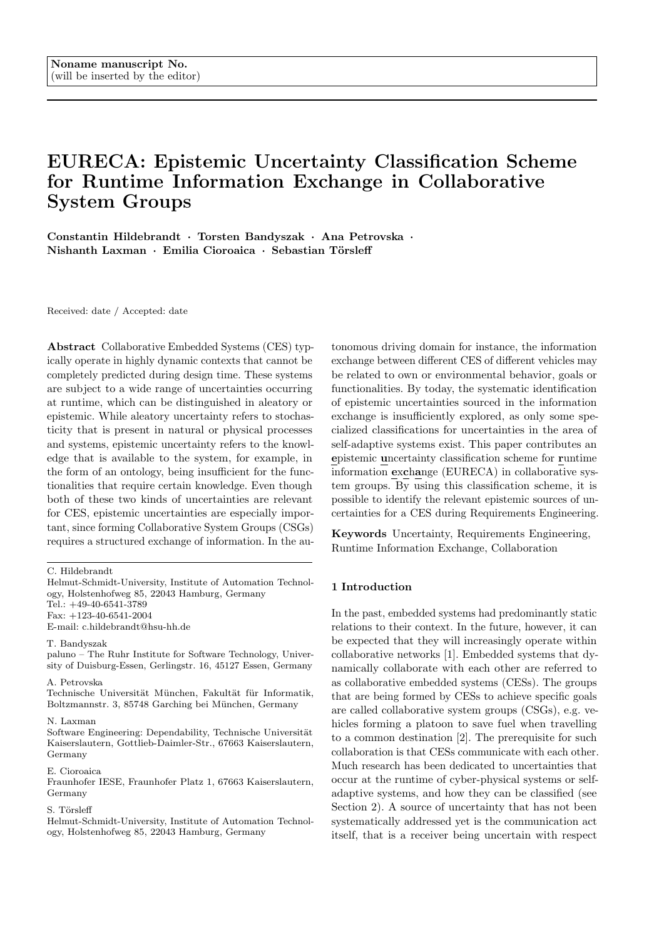is opened by establishing a temporal second platoon (led by the vehicle in front of which the new vehicle is supposed to join) reducing its speed. Eventually, the joining vehicle is notified about the opened gap, and changes the lane to join in.

The coordination of the joining maneuver requires the exchange of a significant amount of information between vehicles. For example, the joining vehicle needs to check if its goals are compatible with the goals of the platoon leader. Exchanged goal specifications may include, for example, desired speed of travel (cf. [26]), or targeted fuel or energy savings. There are other scenarios in which information exchange is necessary to negotiate between different vehicles. Consider a scenario wherein an ambulance needs to arrive at a particular destination fast, and therefore its goal is to overtake it. To this end, the ambulance communicates its priority goal and thereby may request the platoon to change the lane to enable overtaking (cf. [27]).

In the scenarios sketched above, a wide range of potential uncertainties can occur. In addition to aleatory uncertainties originating from the physical surroundings, which are out of scope of this paper, major issues arise from epistemic uncertainties related to the information that is exchanged between vehicles. In general, different representations and different underlying ontologies of the versatile kinds of information exchanged within a platoon are potential sources for uncertainties that can occur at runtime. This might be due to the fact that vehicles built by different Original Equipment Manufacturers (OEMs) interact with each other, which is an important challenge in autonomous driving [28, 29].

In a platoon, information about the context, including other vehicles or pedestrians, is exchanged, for example, through a smart ecosystem as introduced above. The perception of every vehicle differs. For example, consider the case where a human-driven vehicle enters the gap that has been formed for some other vehicle to join the platoon [22]. This situation may be detected by the joining vehicle through its on-board sensors, but not yet realized by the platoon leader (e.g. due to communication delays within the platoon, cf. [30]). As a consequence, the perception of the gap in the middle of a platoon by the platoon leader and the joining vehicle differs, which leads to ambiguous information about the context when respective information is exchanged [31].

Epistemic uncertainties could also be related to the goals of individual vehicles, which need to be negotiated in a platoon (for example, for joining). Being part of a CSG formed as a smart ecosystem, a CES interacts with other systems that have collaborative and competitive goals [25]. For instance, a platooning vehicle may leave its current platoon after detecting another one

with more closely related goals. Uncertainties related to misunderstanding goals of different vehicles can have serious, hazardous effects. Due to different ontologies for expressing goal information used by different OEMs, a collaborating system could have a goal that is not properly understood by other vehicles in the platoon or it is not properly declared. This creates miss-understandings that can lead to safety-critical situations. For example, an individual goal of a vehicle to move forward in order to leave the platoon is communicated to the preceding vehicle that understands it as a goal in the platoon. As a consequence the preceding vehicle, in order to drive closely to the vehicle in front, increases its speed and causes a crash. Hence, solutions to assure safety in case of goal uncertainties need to be in place. Of course, in an ideal situation a single standardized ontology would be in place (for example, to exchange safety-related knowledge about accidents [32,33]), preventing such misunderstandings. However, there are still open research challenges regarding the interoperability of heterogeneous collaborating vehicular systems using different knowledge representations [34,35]. Furthermore, in order to achieve competitive advantage, an ecosystem, in our case the vehicle platoon, needs to effectively engage with external partners in order to maximize the benefits [36]. Hence, the classification scheme proposed in the next section aims at supporting the systematic identification of epistemic uncertainties that may occur during information exchange.

# 4 An Uncertainty Classification Scheme for Collaborative Embedded Systems

This chapter introduces a classification scheme that can be applied during Requirements Engineering for identifying and classifying epistemic uncertainties that result from information exchange between CESs. For this purpose, we introduce a simplified knowledge modelling procedure for capturing human knowledge in an ontology in Section 4.1. Two main classes of epistemic uncertainties in information exchange are introduced. Based on these definitions, Sections 4.2 and 4.3 include definitions of specific sub-classes for each main class, before Section 4.4 introduces the structure of the epistemic uncertainty classification scheme for runtime information exchange (EURECA) and where it is applied in Requirements Engineering.

## 4.1 Knowledge Modelling Procedure

As a special branch of knowledge engineering, ontological engineering is concerned with the formalization of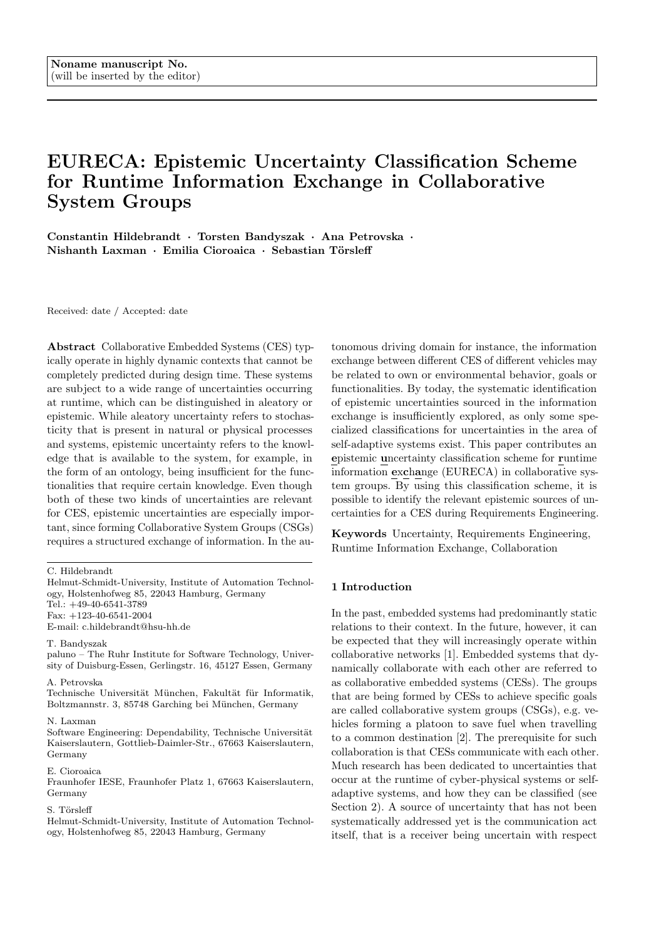

Fig. 1 Knowledge Modelling procedure

human knowledge in a machine readable way, i.e. an ontology [37]. To obtain such an ontology, one has to perform certain modelling steps, which are subsequently described by adapting a simplified procedure of [38]. The procedure is also summarized in Figure 1 while the red and gray color emphasize the application of the procedure by different development teams (constructing the SUC and, from the point of view of the SUC, the CO, respectively).

When formalizing human knowledge, the SUC's developers capture their real-world perception in presentation patterns first, e.g.: "vehicle must brake in case of an obstacle in the driving lane". Afterwards, these informal presentation patterns are transformed into a conceptualization  $\kappa_{SUC}$  of the SUCs domain (e.g. autonomous driving)  $\kappa_{SUC} = (D, \langle)$  with D being relevant concepts of the SUCs domain and < being relevant relations between concepts of the SUCs domain.

Describing the real-world context of a vehicle that should be communicated during runtime for instance, requires a conceptualization  $\kappa_{SUC}$  of the realworld concepts  $D = \text{free}, \text{vehicle}, \text{distance}, \dots, q, \text{include}$ ing relations between these concepts  $\langle \rangle = | \hat{f} \rangle$ hasDistance distanceg, f...g. After having defined the developer's real-world perception in the conceptualization  $\kappa_{SUC}$ , one can choose, depending on the application's needs, a language  $L$  that should represent the conceptualization in a machine readable format. Common languages in the field of Ontological Engineering are, for instance, Ontology Web Language Description Logics (OWL-DL) and First Order Logics [37]. Each language has its own vocabulary V (e.g. atomic concepts and atomic roles in Description Logics) denoting possible elements for representing parts of the conceptualization  $\kappa_{SUC}$ .

The transformation of the conceptualization  $\kappa_{SUC}$ into the vocabulary  $V$  is called ontological commitment  $K_{SUC} = (\kappa_{SUC}, V)$ , where each part of the conceptualization is mapped to an element of the vocabulary. For the extent of this paper, we introduce a simplified formal definition of a ontological language with vocabulary  $V_S = (C, R, A)$ , where C is a set of concepts, R is a set of relationship types among concepts, and A is a set of attributes.  $C, R$  and  $A$  are defined as tuples where:

$$
- c 2 C; c = (t_c, d_c) \n- r 2 R; r = (t_r, d_r) \n- a 2 A; a = (t_a, d_a)
$$

While the term  $t \nvert 2 \nvert T$  only relates to the former defined  $D$  and  $\langle$  (e.g. "Tree"), the formal definition  $d 2 D$  uses the vocabulary of the language  $V<sub>S</sub>$  in order to describe the term with that language (e.g. describing "Tree" in description logic).

The result of the ontological commitment is the ontology  $O_{SUC}$  that can be used as a machine-readable artifact at runtime for representing intensional, terminological knowledge (T-Box or type level of knowledge, e.g. terms and logical definitions of "tree") and extensional, assertional knowledge (A-Box or instance level of knowledge, e.g. recognized instances of passed by "trees" and their distance to the SUC) [39]. This knowledge modelling procedure is applied by the developers of the SUC, but also by developers of the COs, resulting in possibly different knowledge models.

When sending messages, we assume that the CES (i.e., SUC or a CO) transform only an excerpt of their extensional knowledge due to performance reasons into a message instead of sending their complete extensional knowledge. Therefore, the message only contains information which must be processed to extensional knowledge by the receiving device again.

For the instantiation of extensional knowledge in a message, the following definitions are necessary. A message m sent by the SUC that uses the ontology  $O_{SUC}$ for the specification of the message content, contains a set of information items I. Each information item  $i \, 2 \, I$ is a tuple  $i = (v, rel)$ , where v is defined as the value of the information item (e.g. value of an attribute a or target and source of a relation  $r$ , or an ID as an instance of c), and rel  $2(C \mid R \mid A)$  is defined as the mapping of each information item to the ontology, specifying the semantics of each value using the defined formal semantic definition of  $O_{SUC} = fC, R, Ag$ . We can now motivate two super-classes of epistemic uncertainties in information exchange through the following example. A CO and an SUC communicate by exchanging messages, while using individual ontologies  $O_{CO}$  and  $O_{SUC}$  respectively, for the semantic specification of the information items within messages. An exemplary message could contain information for triggering an emergency brake maneuver when a CO identifies an obstacle and informs the SUC. In order to convey the emergency brake information, the CO sends an excerpt of its own extensional knowledge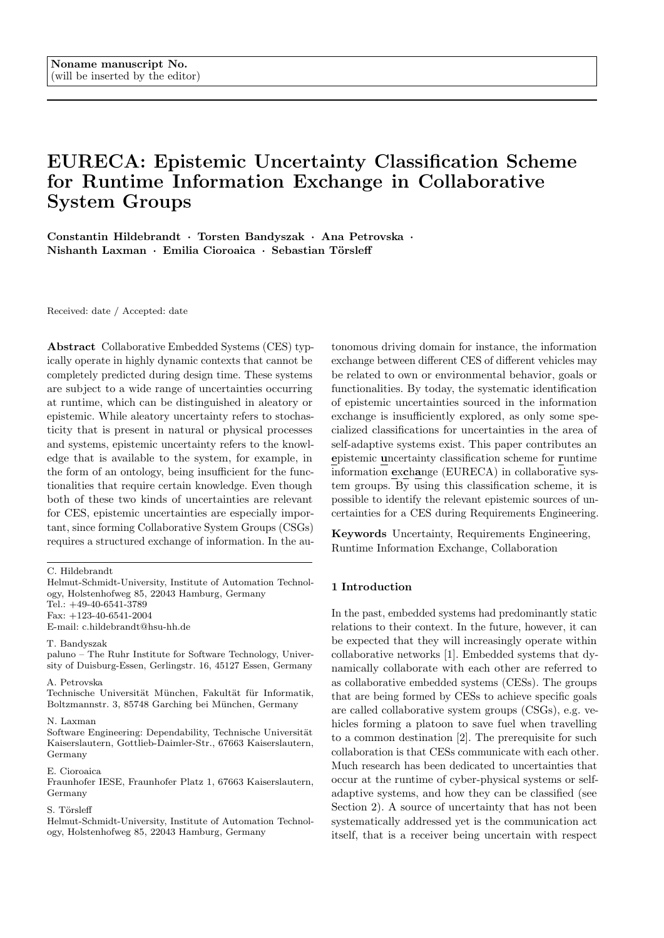within a message m, which has been created based on its intensional knowledge. The SUC receives the message and processes the contained information in order to transform it into extensional knowledge according to its own intensional knowledge. There is no epistemic uncertainty in information exchange, if

- 1. All used ontological elements of the message  $m$  are known and consistent to both, the SUC and CO, defined as true for the following statement:  $\mathcal{S}i_j$ :  $(rel_j 2 C_{O_{CO}}$   $\gamma$ rel<sub>j</sub> 2  $C_{O_{SUC}}$ )  $(el_j 2 R_{O_{CO}}$   $\gamma$ rel<sub>j</sub> 2  $(R_{O_{SUC}})$   $(rel_j 2 A_{O_{CO}} \wedge rel_j 2 A_{O_{SUC}})$
- 2. The information items within the message m:  $i_j =$  $(v_j, rel_j)$  are not missing or violating (semantical inconsistency) a specification according to the definitions of  $O_{SUC}$ , and are not incomplete or inconsistent with respect to the actual situation of the SUC

If these two conditions hold, epistemic uncertainties sourced in the information exchange of the CO and the SUC are inexistent since both systems share the needed intensional knowledge to understand the information of message  $m$ . Moreover, the message  $m$  is well formed so that the contained information can be processed to extensional knowledge. The cases in which condition one is violated are presented in Section 4.2. Section 4.3 presents the cases violating the second condition. Section 5 introduces an exemplary application of each type and instance level uncertainty. The subsequent Sections 4.2 and 4.3 therefore only hold the necessary definitions due to the space restrictions.

## 4.2 Uncertainty Sources on the Type Level

The type level uncertainty cases, which are defined in this Section, are based on a T-Box mismatch at runtime. This may occur if CO and SUC are using different T-Boxes for specifying and interpreting the messages to be exchanged at runtime. Based on the simplified modelling procedure in Section 4.1, three reasons for a T-Box mismatch may occur:

- The ontologies  $O_{SUC}$  and  $O_{CO}$  do differ, because the conceptualization  $\kappa_{SUC}$  and  $\kappa_{CO}$  already contained different elements (see subsequent T1, T2, T3).
- The ontologies  $O_{SUC}$  and  $O_{CO}$  do differ, because the ontological commitment was done differently by the individual developers, resulting in parts of  $\kappa_{CO}$ being semantically inconsistent to parts of  $O_{SUC}$ and vice versa (see subsequent T4).
- The ontologies  $O_{SUC}$  and  $O_{CO}$  do differ, because the developers used different languages for the ontological commitment. However, this case is not considered here.

In order to simplify the subsequent formal definitions, and to ease readability, we use subscript notation to denote relevant characteristics that are required to explain the four different type level uncertainties: From the SUC's point of view, a message  $m$  can contain unknown T-Box elements  $x_u$  or known T-Box elements  $x_k$ , which are described by a term known to the SUC  $(t_{xO_{SUC}})$  and a logical definition of that term  $(d_{xO_{SUC}})$ . Each T-Box element can either be a concept, a relation or an attribut  $(C \mid R \mid A)$  within the SUCs or COs ontology:

$$
x_u(t_{xO_{CO}}, d_{xO_{CO}}); x_u \supseteq (C_{O_{CO}} \left[ R_{O_{CO}} \left[ A_{O_{CO}} \right] \right]
$$

$$
x_k(t_{xO_{SUC}}, d_{xO_{SUC}}); x_k \supseteq (C_{O_{SUC}} \left[ R_{O_{SUC}} \left[ A_{O_{SUC}} \right] \right]
$$

Figure 2 emphasizes the four different type level uncertainties by example, which are subsequently defined.



Fig. 2 Type level uncertainty example

T1, known difference in scope: At least one ontological element of the message  $m$  is not known to the SUC, and the unknown element  $x<sub>u</sub>$  has a known relation  $r_k$  to a known element  $x_k$ . From the logical description of  $d_{KDS} = (d_{xO_{CO}}, d_{rO_{SUC}}, d_{xO_{SUC}})$  it can be inferred that  $x_u$  is a more abstract/detailed (e.g. "subclassing") element than  $x_k$  or from the same granularity (e.g. "same-as"). Here, the message  $m$  is not well understood, because of intensional knowledge unknown to the SUC. Due to the known relation to the unknown element, the SUC can at least use the semantics of  $d_{rO_{SUC}}$ for further reasoning or mitigation.

T2, unknown difference in scope: At least one ontological element of the message  $m$  is not known to the SUC, and the unknown element  $x_u$  has an unknown relation  $r_u$  to a known element  $x_k$ . From the logical descriptions  $d_{UDS} = (d_{xO_{CO}}, d_{rO_{CO}}, d_{xO_{SUC}})$  it can be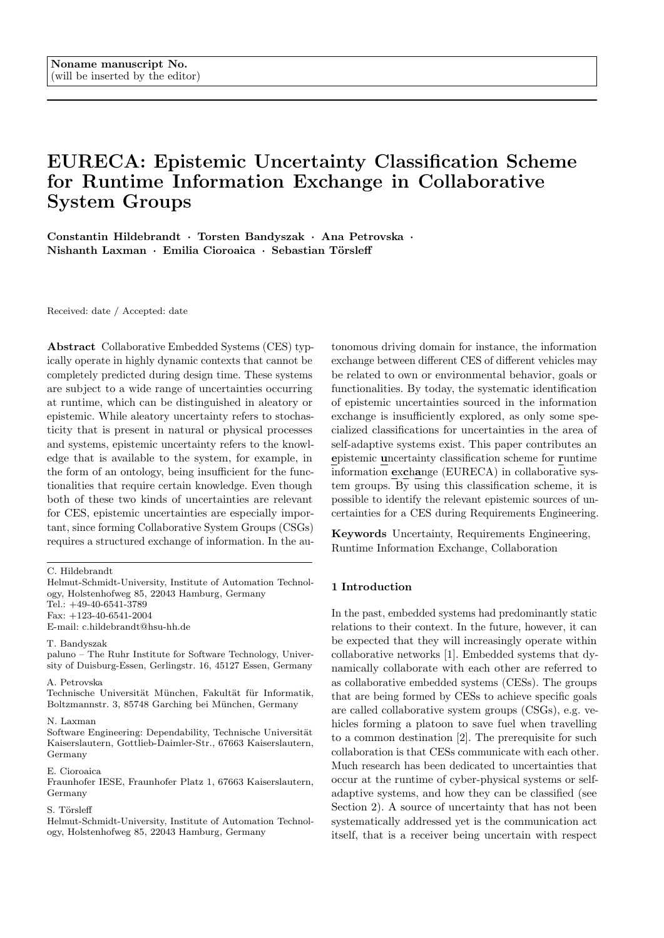inferred that  $x_u$  is somehow related to the SUC's intensional knowledge. The message  $m$  is not well understood, because of unknown but related intensional knowledge. Due to the fact, that there is no known relation to the unknown element, the SUC can only use the semantics of  $d_{xO_{SUC}}$  for further reasoning or mitigation.

T3, distinct scope: At least one ontological element of the message  $m$  is not known to the SUC, and the unknown element  $x_u$  has no known relation  $r_k$  or unknown relation  $r_u$  to a known element  $x_k$ , so that none of the aforementioned cases holds. From the logical description  $d_{xO_{CO}}$  it can be inferred that  $x_u$  does not have any relation to the SUC's intensional knowledge. The message  $m$  is not well understood, due to unknown intensional knowledge required for processing the information of message m. Due to the fact that there is no known or unknown relation to the unknown element, the SUC can only use the semantics of  $d_{xO_{CO}}$  for further reasoning or mitigation.

T4, inconsistent ontological commitments: At least one ontological element of the message m:  $x_{IOC}(t_{xO_{CO}}, d_{xO_{CO}}); x_u$  2 ( $C_{O_{CO}}$  [  $R_{O_{CO}}$  [  $A_{O_{CO}}$ ) violates known formal semantic definitions of  $x_k(t_{xO_{SUC}}, d_{xO_{SUC}}); x_k \supseteq (C_{O_{SUC}} \int R_{O_{SUC}} \int A_{O_{SUC}}).$ The element  $x_{IOC}$  has an inconsistent formal semantic definition compared to  $x_k$  in the sense of:  $(t_{xO_{SUC}} =$  $t_{xO_{CO}}$ )  $\wedge$  ( $d_{xO_{SUC}} \notin d_{xO_{CO}}$ ). The information items associated with the ontological element  $x_{IOC}$  can therefore not be used, since this would result in inconsistent intensional knowledge of the SUC. The message m is not well understood, due to inconsistent intensional knowledge used for the specification of the message.

## 4.3 Uncertainty Sources on the Instance Level

The instance level uncertainty cases, which are defined in this Section, are based on the actual information specified in the message. Instance-level uncertainties may occur if the specified information cannot be processed to extensional knowledge (A-Box) of the SUC. Based on the simplified modelling procedure introduced in Section 4.1, two main reasons may occur:

- Non-situation related: Information items contained in the message  $m$  violate the SUC's intensional knowledge  $(11)$ , or the message m is missing formal semantic specifications of contained information items (I4).
- Situation related: Based on the actual situation of the SUC, in which it processes the received message, the contained information items in message  $m$  are either situationally inconsistent (I2) or situationally incomplete (I3).

For simplifying the definition of the four different instance level uncertainties, we facilitate the subsequent definitions: From the SUC's point of view, a message m contains a set of information items  $I_m$ , containing atomic  $i_j$  (see eq. (1)). The information items that are required by the SUC in an actual situation for executing own functionalities are denoted by  $i_{rj}$  (see eq. (3)). Each information item  $i_j$  or  $i_{rj}$  includes a defined reference to a type (i.e. the T-Box element), see eq.  $(2)$  and  $(4)$ respectively:

$$
i_j \ 2 \ I_m = (v_j, rel_j); \text{ with } 0 \quad j \quad J \tag{1}
$$

$$
rel_j \not\sqsubseteq x_k(t_{xO_{SUC}}, d_{xO_{SUC}}) \tag{2}
$$

$$
i_{rj} \ 2 \ I_{req} = (v_{rj}, rel_{rj}); \text{ with } 0 \quad rj \quad RJ \tag{3}
$$

 $rel_{ri} \not\sqsubseteq x_k(t_{xO_{SUC}}, d_{xO_{SUC}})$  (4)

Figure 3 summarizes the subsequently defined four cases of instance level uncertainties.



Fig. 3 Instance level uncertainty example

I1, semantically inconsistent information: The message m contains at least one information item  $i_j =$  $(v_j, rel_j)$ , where the value  $v_j$  violates the known formal semantic definition of rel<sub>j</sub>  $\llbracket r \rrbracket x_k$ . This is independent of the actual situation that the SUC is embedded in. In this case, the message  $m$  is not well understood, due to information specified inconsistently with respect to to the intensional knowledge of the SUC.

I2, situationally incomplete information: The message m contains a set of information items  $I_m$ , and the SUC requires a set of information items  $I_{req}$  to be contained in m. The number of information items only partially meet the required information of the SUC, i.e.  $I_{m}$  I<sub>req</sub>, while the required set  $I_{reg}$  depends on the actual situation that the SUC is embedded in. The message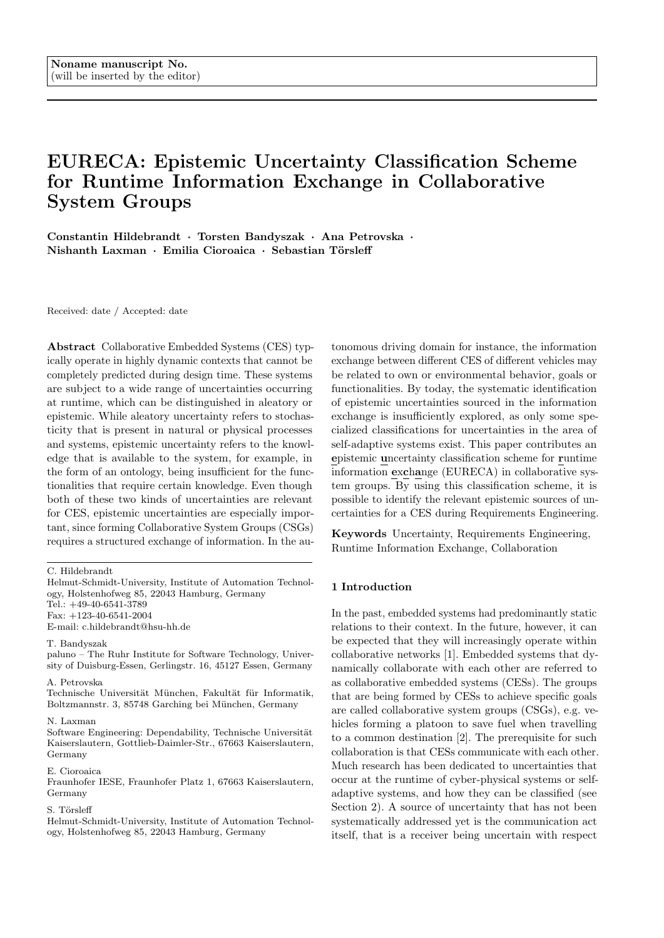$m$  is well understood but misses necessary information expected in a certain situation.

I3, situationally inconsistent information: The message m contains a set of information items  $I_m$ , and the SUC requires a set of information items to be contained in the message  $I_{req}$ . The information items of the set  $I_m$  and their specification are situationally inconsistent to the set of required information items  $I_{req}$ , so that for at least one information item  $i_j \, 2 I_m$  the following statement holds true:  $(v_j \notin v_{rj}) \wedge (rel_j \notin rel_{rj}).$  Since the required set  $I_{req}$  depends on the actual situation that the SUC is embedded in, this instance level uncertainty is situation dependent. The message  $m$  is not well understood, due to situational inconsistency.

I4, missing type membership: The message m contains a set of information items  $I_m$ , and the SUC is not able to process at least one information item  $i_j \nightharpoonup I_m$ , because the information item has no type relation:  $i_j = (v_j, rel_j = \cdot)$ . While this is independent of actual situation in which it occurs, the message m is not well understood, due to incomplete specification of the information item's type relation.

# 4.4 Epistemic Uncertainty Classification Scheme for Runtime Information Exchange

Table 1 shows the structure of the epistemic uncertainty classification scheme for runtime information exchange (EURECA), which is subsequently described. EURECA is a two-dimensional schema. The first column contains all ontologies  $O_k$  that are relevant for information exchange with context objects during runtime of the SUC. The second column contains all concepts  $c_l$ , relations  $r_m$  and attributes  $a_n$  of each  $O_k$ , which are subject to epistemic uncertainties at runtime. The next columns contain the type and instance level uncertainties defined in Sections 4.2 and 4.3. Each cell crossing a type or instance level uncertainty with concepts  $c_l$ , relations  $r_m$ and attributes  $a_n$  of  $O_k$  can be used to document an epistemic uncertainty that may occur during runtime and that has to be mitigated during the engineering. To apply EURECA, the following prerequisites have to hold:

- The ontologies  $O_k$  (e.g. goal or context ontologies) that are used for runtime information exchange are available and known.
- The use case scenarios that specify behavioral requirements of the SUC are available and known in order to elicit relevant crossings of type and instance level uncertainties with concepts  $c_l$ , relations  $r_m$  and attributes  $a_n$  of  $O_k$ .

Table 1 Epistemic uncertainty classification scheme for runtime information exchange

| $\boldsymbol{o}_k$ | $c_l, r_m, a_n$ | <b>Type level</b><br>uncertainty |                  |                |           | <b>Instance level</b><br>uncertainty         |          |    |   |
|--------------------|-----------------|----------------------------------|------------------|----------------|-----------|----------------------------------------------|----------|----|---|
|                    |                 | T1                               | T <sub>2</sub>   | T <sub>3</sub> | <b>T4</b> | 11                                           | 12       | 13 | 4 |
| Ontology $O_k$     | $c_l$           |                                  | Identified type- |                |           | <b>Identified</b>                            |          |    |   |
|                    | $r_m$           | level uncertainty<br>sources per |                  |                |           | instance-level<br>uncertainty<br>sources per |          |    |   |
|                    | $a_n$           |                                  | scenario         |                |           |                                              | scenario |    |   |

With respect to the above mentioned prerequisites, EURECA is intended to be applied during Requirements Engineering, as soon as use case scenarios or other kinds of behavioral requirements have been specified, which indicate the required information to be exchanged during runtime by SUC and COs. Please refer to [40] for a comprehensive description on behavioral requirements and their documentation with message sequence charts. Furthermore, please refer to [41] for a description on how to develop the ontologies mentioned in the first prerequisite.

# 5 Classified (Epistemic) Uncertainties in Exemplary Use Case Scenarios

This Section provides an exemplary application of the classification scheme (EURECA) which has been introduced in Section 4.4. For this, different scenarios from vehicle platooning use case are considered (Section 3.2).

In our example, we illustrate a vehicle platoon driving on a highway. As our focus is on epistemic uncertainties, the information exchange between the vehicles is considered. In particular, we focus on the joining maneuver (Section 3.2): A vehicle on the highway, not part of a platoon yet, would like to join the platoon under consideration and approaches it. As most of the important decisions are managed by a platoon leader, it is considered as SUC in all successive scenarios, and the joining vehicle is considered to be the CO for the SUC. The SUC is considered to be powered by internal combustion (IC) engine and the (potentially) joining vehicle being powered by electric motor. This gives rise to a wide range of potential uncertainties, as the information exchanged for joining a platoon contain vehicle specifications, which may significantly differ for each engine type.

The common outset to all subsequent scenarios is that the CO has to request the platoon leader to join the platoon. Hereby, SUC and CO exchange messages to establish a CSG. Despite the fact that there will be various information being exchanged, our focus for the subsequent scenarios is limited to the information ex-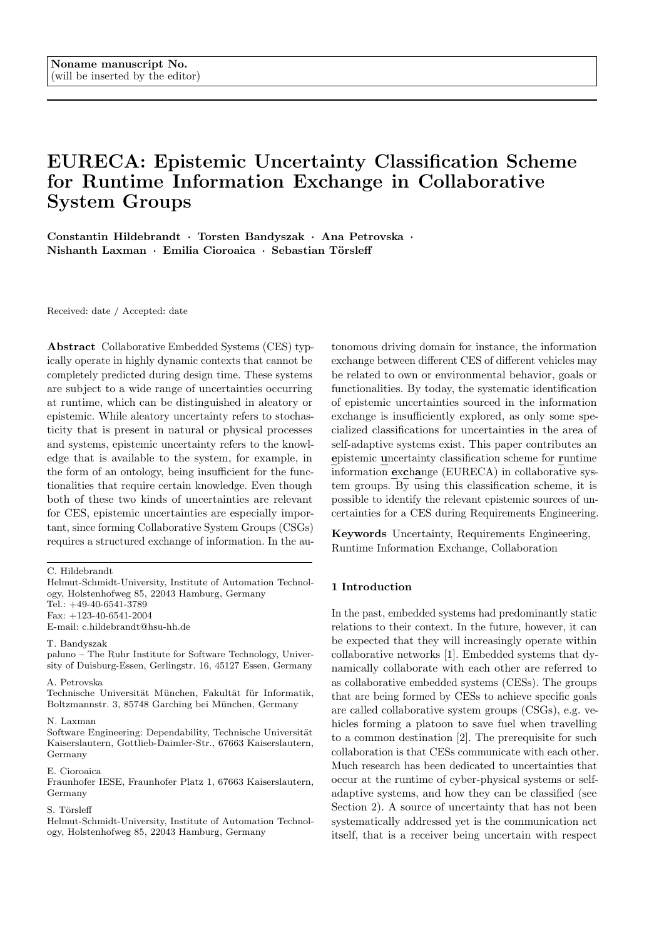

Table 2 EURECA scheme for the application scenario of vehicle platooning.  $TLU =$  type level uncertainty,  $ILU =$ instance level uncertainty

change pertaining to goal specification. To negotiate the goals, and coordinate the joining procedure, the SUC demands the CO to share some relevant goal specifications, like its "desired fuel consumption". As our focus is on information exchange (i.e. the payload of a protocol), we avoid technical details of the specific communication protocol, which are related to, e.g. how messages are structured, or how required fields and type descriptions of a message can be identified by individual vehicles.

Table 2 gives an overview of the different concepts, relations, and attributes relevant to the platooning scenario used for illustration. The table also illustrates the use of EURECA for guiding uncertainty identification during Requirements Engineering: Each cell referencing a scenario (S1-S7) indicates a relevant uncertainty identified during requirements elicitation, which somehow manifests in a certain concept, relation, or attribute considered in the development of a software-intensive system that processes information exchanged in a platoon (such as a CACC, see Section 3.2). For each filled cell we provide a description of an exemplary scenario (S1-S7), in which the respective uncertainty may occur, in the following subsections. We expect the modelling of each scenario to be done, for instance, in a message sequence chart (MSC) indicating the information exchange between SUC and CO. Due to space restrictions, we do not show the MSCs depicting each scenario subsequently.

## 5.1 Scenarios Illustrating Type Level Uncertainties

T1, known difference in scope: In this scenario (S1), the platoon leader (SUC) receives a message m specified using a known concept  $c_1$  with a known relation  $r_4$  to

an unknown concept  $c_u$ .

$$
x_k = c_1 = (t_{c_1} = \text{``MinimizeEnergyConsumption''},
$$
  
\n
$$
d_{c_1} = s(t_{c_1}))
$$
  
\n
$$
r_k = r_4 = (t_{r_4} = \text{``SupportingGoal''}, d_{r_4} = [c_1] \quad [c_u])
$$
  
\n
$$
c_u = (t_{c_u} = \text{``IncreaseDownhillRecuperation''},
$$
  
\n
$$
d_{c_u} = s(t_{c_u}))
$$

Where the definitions  $d_{x_z}$  of concepts are defined by a function s that assigns certain semantics to the term  $t_{x_z}$  respectively. We do not elaborate in detail on the function s as it depends on the language (e.g. based on temporal logics) chosen to formally represent goals.

SUC and CO have a shared goal (expressed by the concept  $c_1$ , i.e. reducing their energy consumption), but the CO has an additional goal  $c_u$  related to  $c_1$ by  $r_4$ . The term  $t_{c_u}$  is specific for the electric vehicle as it describes its goal concept to increase downhill recuperation through its electrical engine. Hence, the SUC cannot interpret message m due to a difference in scope, which is, however, known because there exists a known relation r<sup>4</sup> shared by SUC and CO.

T2, unknown difference in scope: In the case of an unknown difference in scope, let us consider the scenario S2, where the SUC knows the goal  $c_4$  to arrive at the destination of travel in an optimal state so that further trips are possible:

 $x_k = c_4 = (t_{c_4} = \text{``OptimalVehicleStateAtDestination''},$  $d_{c_4} = s(t_{c_4})$ 

Both SUC and CO prefer having some energy left in the vehicle (either fuel or electric power) after reaching the destination. However, the CO provides some further information item containing a specification of a desired state of charge  $(a_u)$  with some relation  $r_u$ , according to the following definitions that are unknown to the SUC:

$$
r_u = (t_{r_u} = \text{``HasStateOfChange''}, d_{r_u} = [c_4] \quad [a_u])
$$

$$
a_u = (t_{a_u} = \text{``StateOfChange''}, d_{a_u} = [0, 1])
$$

As a consequence, messages that contain information items using these definitions cannot be interpreted because the IC engine powered vehicles ontology only refers to a certain amount of fuel left instead of a battery charge level.

T3, distinct scope: To illustrate a completely distinct scope of two ontologies, let us assume a scenario S3 in which the SUC has the goal to reach the next fuel station  $c<sub>5</sub>$  along the planned route that has to be negotiated with the CO. From the CO, however, the SUC receives a message specified according to an unknown concept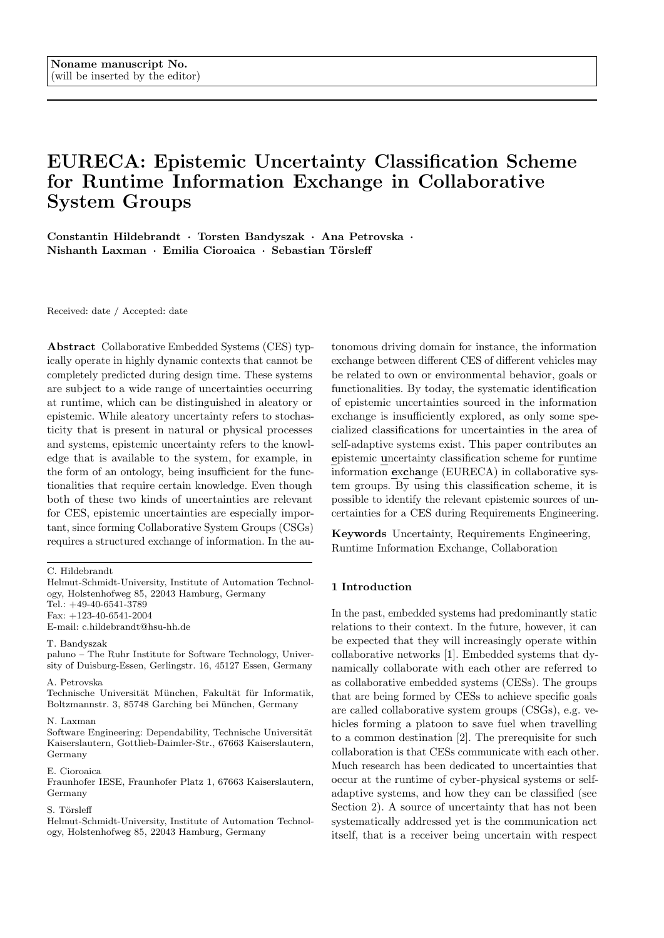$c_3$  with an unknown relation  $r_3$  and unknown attribute  $a_3$ , which are specific for electric vehicles:

 $c_u = (t_{c_u} = \text{``ReachNextChargingStation''}, d_{c_u} = s(t_{c_u}))$  $r_u = (t_{r_u} = "HasRechargePlugType", d_{r_u} = [c_u] \quad [a_u])$  $a_u = (t_{a_u} = \text{``PlugType''}, d_{a_u} = \text{``IEC 62196-2 Type 1''},$ "IEC 62196-2 Type 2", "IEC 62196-2 Type 3"g)

Both, SUC and CO want to reach their next refuel / recharge station. However, each of them has different and distinctly defined concepts, relations and associated attributes, resulting in not understanding each other. In particular, the CO specifies the goal to reach the next charging station, with different relevant attributes such as the required charging plug type.

T4, Inconsistent ontological commitments: To illustrate the case T4, we consider a scenario S4, which is concerned with exchange of messages containing information items that the SUC and the CO can understand according to their ontologies. The SUC receives a message including an information item referencing  $c_1$  (see above) with a known relation  $r_2$  and known attribute  $a_1$ , which can be mapped to the SUCs ontology  $O_{SUC}$ :

$$
r_k = r_2 = (t_{r_2} = \text{``HasMaxConsumption''},
$$
  
\n
$$
d_{r_2} = [c_1] \quad [a_1])
$$
  
\n
$$
x_k = a_1 = (t_{a_1} = \text{``MaxEnergyConsumption''},
$$
  
\n
$$
d_{a_1} = \text{float: [liters/100km; max. 100, min.2])}
$$

However, the ontology of the CO differs in the sense that it includes another, differing definition of the attribute  $a_1$  due to the fact that electric vehicles define their energy consumption in a different unit (kWh/km):

 $x_{IOC} = a_1 = (t_{a_1} = \text{``MaxEnergyConsumption''},$  $d_{a_1} = \text{float: } [kWh/\text{km}; \text{ max. } 70, \text{ min. } 5]$ 

Both attribute definitions involve numeric real values in certain intervals, (using "float" as data type), but their semantics and logical implication is different, resulting in misinterpretation and thereby uncertainty.

### 5.2 Scenarios Depicting Instance Level Uncertainties

I1, semantically inconsistent information: In order to illustrate the case that uncertainties may occur due to semantically inconsistent information, we consider a scenario S5 in which the SUC demands a refinement of the goal  $c_1$  by means of an attribute  $a_1$  containing a concrete floating point number value of the vehicle's

maximum desired fuel consumption:

$$
c_1 = (t_{c_1} = \text{"MinimizeEnergyConsumption", } d_{c_1} = s(t_{c_1}))
$$
  
\n
$$
r_2 = (t_{r_2} = \text{"hasMaxConsumption", } d_{r_2} = [c_1] \quad [a_1])
$$
  
\n
$$
a_8 = (t_{a_8} = \text{"MaxFuelConsumption", } d_{a_8} = \text{float: [liters/100km]})
$$

However, the CO is only is able to specify the maximum power consumption  $a_6$ , which is also known to the SUC but used to specify different concepts than  $c_1$ , e.g. related to the vehicle's battery or power outlet. Nevertheless, the CO sends a message  $m$  containing an information item  $i_1$  that specifies  $a_6$  as a refinement of  $c_1$  to the platoon.

$$
a_6 = (t_{a_6} = "MaxPowerConsumption",d_{a_6} = float: [kW])i_1 = (v_1 = (c_1, a_6), rel_1 = r_2)
$$

The message  $i_1$  sent by the CO contains a reference to the relation  $r_2$  (using rel<sub>1</sub>, see Section 4.1), which, however, is inconsistent w.r.t. the semantic definition of  $r_1$  according to the ontology  $O_{SUC}$  of the platoon leader, since the target of the relation  $r_2$  is defined to be the attribute  $a_1$  only.

I2, situationally incomplete information: The case I2 can be illustrated using the scenario S5 (see above) as well. In this case however, instead of using a relation inconsistent to its type definition, the CO simply does not provide the information item that is needed for the SUC to evaluate whether joining is granted or not. This may be due to the reason, that the CO is unable to specify a maximum desired fuel consumption because of its different engine properties. Thus, an attribute that is required to be conveyed in the message  $m$ , i.e.,  $i_2 = (v_2, rel_2 = a_8)$  2  $I_{req}$ , is not received by the SUC, and neither is the relation  $r_2$ .

I3, situationally inconsistent information: Considering a scenario S6 in which the CO has successfully joined the platoon, the SUC may periodically (e.g. once every 60 seconds) request each following vehicle to report their status, including, e.g. their current destination of travel, or the estimated remaining driving range, in order to monitor the platoon stability, and to identify potential refueling stations, if necessary.

The CO's first report  $m_1$  contained a remaining driving distance of 120 km, as specified by:

$$
i_3 = (v_3 = 120, rel_3 = a_2)
$$
  
 $a_2 = (t_{a_2} =$  "DistanceRemaining",  $d_{a_2}$  = float: [km])

Afterwards, the platoon has to brake several times. As electric vehicles recharge their battery while braking, the CO is able to actually increase the remaining driving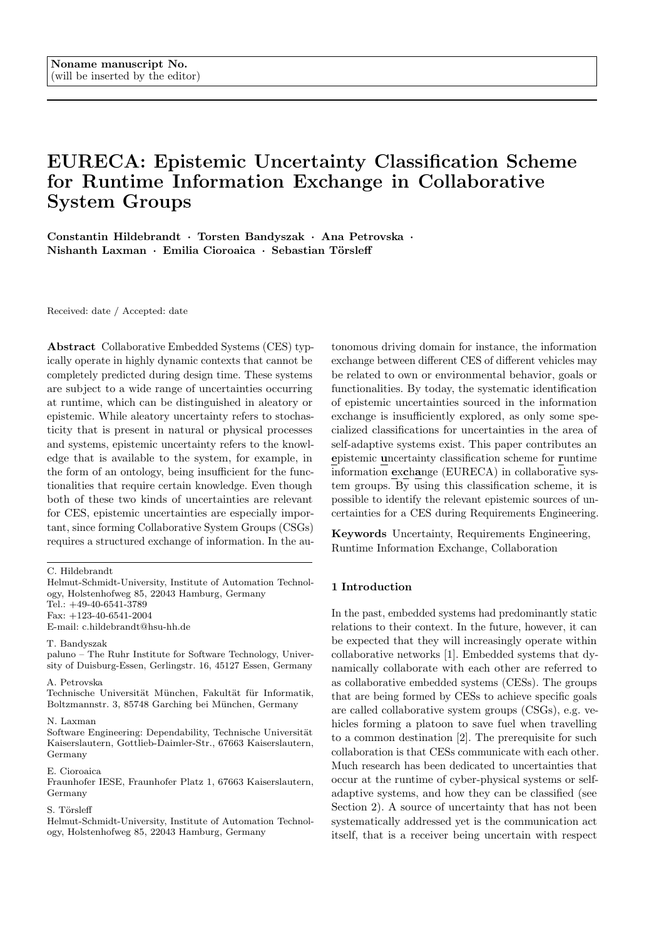distance, while the IC engine vehicle had a decreasing remaining driving distance. Hence, the CO's next report  $m_2$  contains a slightly increased driving range left  $i_4 = (v_4 = 123, rel_1 = a_2)$ . The SUC, however, uses an ontology  $O_{SUC}$  for IC vehicles, and thus requires each vehicle to report a decreased driving range as time proceeds. Hence, based on  $m_1$  the SUC expected a value  $v_4$  123 to be contained in  $m_2$ .

I4, missing type membership: In the last scenario S7, coordination messages are exchanged between the SUC and the following vehicles during operation. Due to communication failure or bad logic on the CO's side in general, messages might be corrupted during information exchange. One such corrupted message m could contain an information item  $i<sub>5</sub>$  that does not contain a relation to a type description  $rel_5$ . For instance, consider the following information item received by the SUC:

 $i_5 = (v_5 = 5231'33.7" \text{N} 1318'50.9" \text{E}, rel_5 =$ ;)

Because  $rel_5$  is missing, the SUC is not able to interpret the value  $v_5$  correctly. The SUC could infer from the string format that it is a geographical coordinate, but the semantics to interpret the value is not known. It could be the destination of travel, but also, e.g. the coordinates of the closest refueling or recharging station on the route.

# 6 Conclusion and Outlook

Collaborative Embedded Systems (CES) collaborate in order to achieve common goals during runtime, where they form groups of Collaborative Systems (CSG). These kinds of interactions require an exchange of information at runtime, since, for instance, commonalities on goals have to be negotiated. Due to fact, that either knowledge or situations can be very heterogeneous for these kinds of systems, several epistemic uncertainties can occur during runtime. In order to consider these uncertainties that can occur during runtime, we defined general sources of uncertainties located in information exchange and introduced a two dimensional classification schema (EURECA), which can be applied during Requirements Engineering for identifying such uncertainties. We used examples from the autonomous driving domain to illustrate the schema. The authors intention is, that EURECA is not limited to this domain only due to its general structure that only requires the ontologies used for the specification of information exchange and a specification of behavioral requirements of the SUC as a prerequisite. It could for instance be used in safety analysis to identify possible failures at an early stage and corresponding counter measures can be incorporated to avoid safety critical scenarios. However, the

actual application of the scheme to other domains and the detailed evaluation of this application is up to future work of the authors, which is twofold.

First, we will be concerned with building industry applicable ontologies (e.g. goal ontologies) for the specification of exchanged information in different domains (i.e. autonomous driving, distributed energy resources, adaptable and flexible factories) and apply the scheme for these ontologies to further evaluate it. Based on this, we will extend the intended application of EURECA from the requirements phase to the design and runtime phase (e.g. models at runtime). Hereby, a developer should be enabled to implement uncertainty awareness or even (semi) automatic uncertainty mitigation to CESs.

Acknowledgements The contribution presented in this paper was funded by the German Federal Ministry of Education and Research under grant number 01IS16043 Collaborative Embedded Systems (CrESt).

## References

- 1. Manfred Broy. Engineering cyber-physical systems challenges and foundations. In Complex Systems Design and Management, pages 1-13. Springer, 2013.
- 2. Dongyao Jia, Kejie Lu, Jianping Wang, Xiang Zhang, and Xuemin Shen. A survey on platoon-based vehicular cyber-physical systems. IEEE Communications Surveys Tutorials, 18(1):263–284, 2016.
- 3. Warren E. Walker, Poul Harremoës, Jan Rotmans, Jeroen P. van der Sluijs, Marjolein B.A. van Asselt, Peter Janssen, and Martin P. Krayer von Krauss. Defining uncertainty: a conceptual basis for uncertainty management in model-based decision support. Integrated assessment, 4(1):5–17, 2003.
- 4. Jens Christian Refsgaard, Jeroen P. van der Sluijs, Anker Lajer Højberg, and Peter A. Vanrolleghem. Uncertainty in the environmental modelling process–a framework and guidance. Environmental modelling & software, 22(11):1543–1556, 2007.
- 5. Naeem Esfahani and Sam Malek. Uncertainty in selfadaptive software systems. In Software Engineering for Self-Adaptive Systems II, pages 214–238. Springer, 2013.
- 6. Andres J. Ramirez, Adam C. Jensen, and Betty H.C. Cheng. A taxonomy of uncertainty for dynamically adaptive systems. In Proceedings of the 7th International Symposium on Software Engineering for Adaptive and Self-Managing Systems, pages 99–108. IEEE Press, 2012.
- 7. Diego Perez-Palacin and Raffaela Mirandola. Uncertainties in the modeling of self-adaptive systems: a taxonomy and an example of availability evaluation. In Proceedings of the 5th ACM/SPEC international conference on Performance engineering, pages 3–14. ACM, 2014.
- 8. Sara Mahdavi-Hezavehi, Paris Avgeriou, and Danny A classification framework of uncertainty in architecture-based self-adaptive systems with multiple quality requirements. In Managing Trade-Offs in Adaptable Software Architectures, pages 45–77. Elsevier, 2017.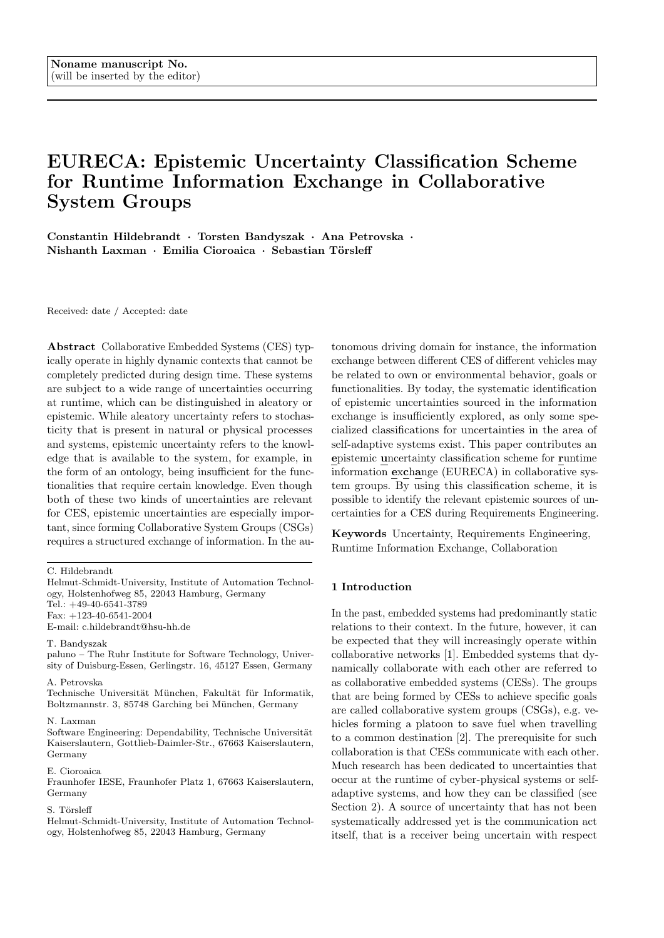- 9. Javier Cámara, David Garlan, Won Kang Gu, Peng Wenxin, and Bradley Schmerl. Uncertainty in selfadaptive systems: Categories, management, and perspectives. 2018.
- 10. Man Zhang, Bran Selic, Shaukat Ali, Tao Yue, Oscar Okariz, and Roland Norgren. Understanding uncertainty in cyber-physical systems: A conceptual model. In European Conference on Modelling Foundations and Applications, pages 247–264. Springer, 2016.
- 11. Antoine Cailliau and Axel van Lamsweerde. Handling knowledge uncertainty in risk-based requirements engineering. In Requirements Engineering Conference (RE), 2015 IEEE 23rd International, pages 106–115. IEEE, 2015.
- 12. Anna Maria Lombardi. The epistemic and aleatory uncertainties of the etas-type models: an application to the central italy seismicity. Scientific reports, 7(1):11812, 2017.
- 13. Armen Der Kiureghian and Ove Ditlevsen. Aleatory or epistemic? does it matter? Structural Safety, 31(2):105– 112, 2009.
- 14. Kristopher Welsh and Pete Sawyer. Understanding the scope of uncertainty in dynamically adaptive systems. In International Working Conference on Requirements Engineering: Foundation for Software Quality, pages 2– 16. Springer, 2010.
- 15. David Garlan. Software engineering in an uncertain world. In Proceedings of the FSE/SDP workshop on Future of software engineering research, pages 125–128. ACM, 2010.
- 16. Kuo-Yun Liang, Jonas Mårtensson, and Karl H. Johansson. Heavy-duty vehicle platoon formation for fuel efficiency. IEEE Transactions on Intelligent Transportation Systems, 17(4):1051–1061, April 2016.
- 17. Marian Daun, Jennifer Brings, Thorsten Weyer, and Bastian Tenbergen. Fostering concurrent engineering of cyber-physical systems a proposal for an ontological context framework. In 2016 3rd International Workshop on Emerging Ideas and Trends in Engineering of Cyber-Physical Systems (EITEC), pages 5–10. IEEE, 2016.
- 18. Ana Petrovska and Florian Grigoleit. Towards context modeling for dynamic collaborative embedded systems in open context.
- 19. Jennifer Brings, Marian Daun, Constantin Hildebrandt, and Sebastian Törsleff. An ontological context modeling framework for coping with the dynamic contexts of cyberphysical systems. In MODELSWARD, pages 396–403, 2018.
- 20. Ann Hsu, Sonia Sachs, Farokh Eskafi, and Pravin Varaiya. The design of platoon maneuvers for ivhs. In 1991 American Control Conference, pages 2545–2550, June 1991.
- 21. Kakan C. Dey, Li Yan, Xujie Wang, Yue Wang, Haiying Shen, Mashrur Chowdhury, Lei Yu, Chenxi Qiu, and Vivekgautham Soundararaj. A review of communication, driver characteristics, and controls aspects of cooperative adaptive cruise control (CACC). 17(2):491–509.
- 22. Michele Segata, Bastian Bloessl, Stefan Joerer, Falko Dressler, and Renato L. Cigno. Supporting platooning maneuvers through ivc: An initial protocol analysis for the join maneuver. In 2014 11th Annual Conference on Wireless On-demand Network Systems and Services (WONS), pages 130–137, April 2014.
- 23. Piergiuseppe Mallozzi, Massimo Sciancalepore, and Patrizio Pelliccione. Formal verification of the on-the-fly vehicle platooning protocol. In Ivica Crnkovic and Elena Troubitsyna, editors, Software Engineering for Resilient

Systems, Lecture Notes in Computer Science, pages 62–75. Springer International Publishing, 2016.

- 24. Emilia Cioroaica, Thomas Kuhn, and Thomas Bauer. Prototyping automotive smart ecosystems. In 2018 48th Annual IEEE/IFIP International Conference on Dependable Systems and Networks Workshops (DSN-W). IEEE, 2018.
- 25. Karl Michael Popp. Goals of software vendors for partner ecosystems–a practitioner s view. In International Conference of Software Business, pages 181–186. Springer, 2010.
- 26. Majid A. Khan and Ladislau Boloni. Convoy driving through ad-hoc coalition formation. In 11th IEEE Real Time and Embedded Technology and Applications Symposium, pages 98–105, March 2005.
- 27. Charmaine Toy, Kevin Leung, Luis Alvarez, and Roberto Horowitz. Emergency vehicle maneuvers and control laws for automated highway systems. IEEE Transactions on Intelligent Transportation Systems, 3(2):109–119, June 2002.
- 28. Maytheewat Aramrattana, Tony Larsson, Jonas Jansson, and Cristofer Englund. Dimensions of cooperative driving, its and automation. In 2015 IEEE Intelligent Vehicles Symposium (IV), pages 144–149, June 2015.
- 29. Sebastian Ebers, Horst Hellbck, Dennis Pfisterer, and Stefan Fischer. Short paper: Collaboration between vanet applications based on open standards. In 2013 IEEE Vehicular Networking Conference, pages 174–177, December 2013.
- 30. Xiangheng Liu, Andrea Goldsmith, Sunider S. Mahal, and J. Karl Hedrick. Effects of communication delay on string stability in vehicle platoons. In 2001 IEEE Intelligent Transportation Systems Proceedings, pages 625–630, August 2001.
- 31. Torsten Bandyszak, Patrick Kuhs, Jasmin Kleinblotekamp, and Marian Daun. On the use of orthogonal context uncertainty models in the engineering of collaborative embedded systems. In Ina Schaefer, Loek Cleophas, and Michael Felderer, editors, Joint Proceedings of the Workshops at Modellierung 2018 co-located with Modellierung 2018, volume 2060 of CEUR Workshop Proceedings, pages 121–130. CEUR-WS.org, 2018.
- 32. Javier Barrachina, Piedad Garrido, Manuel Fogue, Francisco J. Martinez, Juan-Carlos Cano, Carlos T. Calafate, and Pietro Manzoni. Caova: A Car Accident Ontology for VANETs. In 2012 IEEE Wireless Communications and Networking Conference (WCNC), pages 1864–1869, April 2012.
- 33. Javier Barrachina, Piedad Garrido, Manuel Fogue, Francisco J. Martinez, Juan-Carlos Cano, Carlos T. Calafate, and Pietro Manzoni. VEACON: A Vehicular Accident Ontology designed to improve safety on the roads. Journal of Network and Computer Applications, 35(6):1891–1900, November 2012.
- 34. Michele Ruta, Floriano Scioscia, Filippo Gramegna, Saverio Ieva, Eugenio Di Sciascio, and Raffaello P. De Vera. A Knowledge Fusion Approach for Context Awareness in Vehicular Networks. IEEE Internet of Things Journal, 5(4):2407–2419, August 2018.
- 35. Derlis Gregor, Sergio L. Toral, Teresa Ariza, Federico Barrero, Raúl Gregor, Jorge Rodas, and Mario Arzamendia. A methodology for structured ontology construction applied to intelligent transportation systems. Computer Standards & Interfaces, 47:108–119, August 2016.